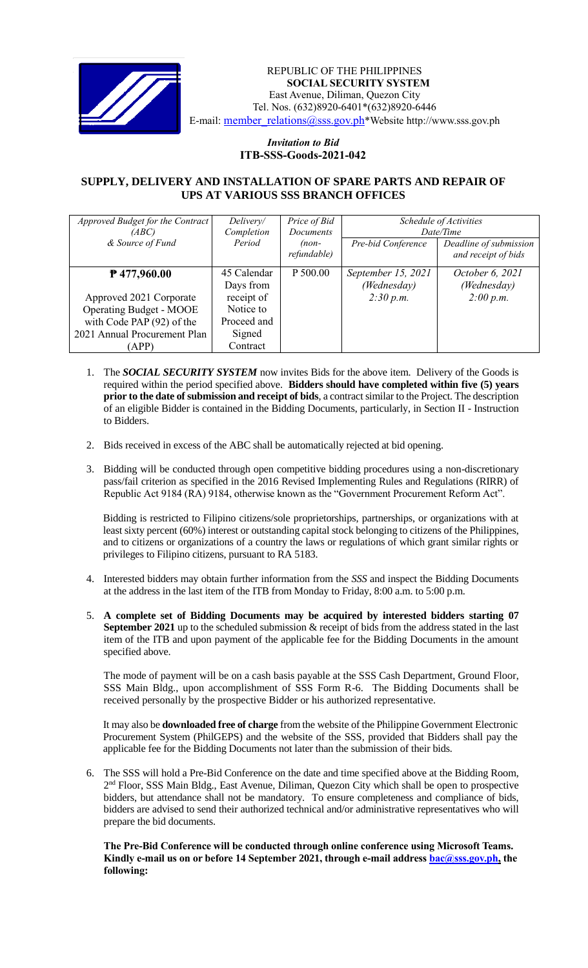

#### *Invitation to Bid* REPUBLIC OF THE PHILIPPINES **SOCIAL SECURITY SYSTEM** East Avenue, Diliman, Quezon City Tel. Nos. (632)8920-6401\*(632)8920-6446 E-mail: [member\\_relations@sss.gov.ph](mailto:member_relations@sss.gov.ph)\*Website http://www.sss.gov.ph

### *Invitation to Bid*  **ITB-SSS-Goods-2021-042**

## **SUPPLY, DELIVERY AND INSTALLATION OF SPARE PARTS AND REPAIR OF UPS AT VARIOUS SSS BRANCH OFFICES**

| Approved Budget for the Contract<br>(ABC)<br>& Source of Fund                                                                                     | Delivery/<br>Completion<br>Period                                                        | Price of Bid<br>Documents<br>$(non-$<br>refundable) | Pre-bid Conference                             | Schedule of Activities<br>Date/Time<br>Deadline of submission<br>and receipt of bids |
|---------------------------------------------------------------------------------------------------------------------------------------------------|------------------------------------------------------------------------------------------|-----------------------------------------------------|------------------------------------------------|--------------------------------------------------------------------------------------|
| $P$ 477,960.00<br>Approved 2021 Corporate<br><b>Operating Budget - MOOE</b><br>with Code PAP (92) of the<br>2021 Annual Procurement Plan<br>(APP) | 45 Calendar<br>Days from<br>receipt of<br>Notice to<br>Proceed and<br>Signed<br>Contract | P 500.00                                            | September 15, 2021<br>(Wednesday)<br>2:30 p.m. | October 6, 2021<br>(Wednesday)<br>2:00 p.m.                                          |

- 1. The *SOCIAL SECURITY SYSTEM* now invites Bids for the above item. Delivery of the Goods is required within the period specified above. **Bidders should have completed within five (5) years prior to the date of submission and receipt of bids**, a contract similar to the Project. The description of an eligible Bidder is contained in the Bidding Documents, particularly, in Section II - Instruction to Bidders.
- 2. Bids received in excess of the ABC shall be automatically rejected at bid opening.
- 3. Bidding will be conducted through open competitive bidding procedures using a non-discretionary pass/fail criterion as specified in the 2016 Revised Implementing Rules and Regulations (RIRR) of Republic Act 9184 (RA) 9184, otherwise known as the "Government Procurement Reform Act".

Bidding is restricted to Filipino citizens/sole proprietorships, partnerships, or organizations with at least sixty percent (60%) interest or outstanding capital stock belonging to citizens of the Philippines, and to citizens or organizations of a country the laws or regulations of which grant similar rights or privileges to Filipino citizens, pursuant to RA 5183.

- 4. Interested bidders may obtain further information from the *SSS* and inspect the Bidding Documents at the address in the last item of the ITB from Monday to Friday, 8:00 a.m. to 5:00 p.m.
- 5. **A complete set of Bidding Documents may be acquired by interested bidders starting 07 September 2021** up to the scheduled submission & receipt of bids from the address stated in the last item of the ITB and upon payment of the applicable fee for the Bidding Documents in the amount specified above.

The mode of payment will be on a cash basis payable at the SSS Cash Department, Ground Floor, SSS Main Bldg., upon accomplishment of SSS Form R-6. The Bidding Documents shall be received personally by the prospective Bidder or his authorized representative.

It may also be **downloaded free of charge** from the website of the Philippine Government Electronic Procurement System (PhilGEPS) and the website of the SSS*,* provided that Bidders shall pay the applicable fee for the Bidding Documents not later than the submission of their bids.

6. The SSS will hold a Pre-Bid Conference on the date and time specified above at the Bidding Room, 2<sup>nd</sup> Floor, SSS Main Bldg., East Avenue, Diliman, Quezon City which shall be open to prospective bidders, but attendance shall not be mandatory. To ensure completeness and compliance of bids, bidders are advised to send their authorized technical and/or administrative representatives who will prepare the bid documents.

#### **The Pre-Bid Conference will be conducted through online conference using Microsoft Teams. Kindly e-mail us on or before 14 September 2021, through e-mail address [bac@sss.gov.ph,](mailto:bac@sss.gov.ph) the following:**